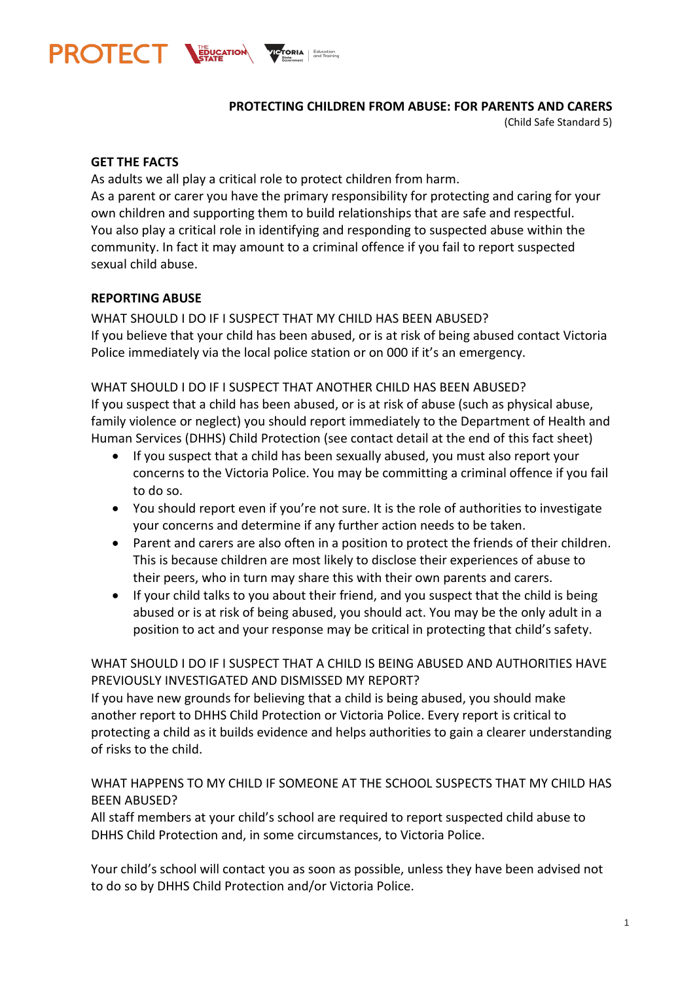

**PROTECTING CHILDREN FROM ABUSE: FOR PARENTS AND CARERS**

(Child Safe Standard 5)

#### **GET THE FACTS**

As adults we all play a critical role to protect children from harm. As a parent or carer you have the primary responsibility for protecting and caring for your own children and supporting them to build relationships that are safe and respectful. You also play a critical role in identifying and responding to suspected abuse within the community. In fact it may amount to a criminal offence if you fail to report suspected sexual child abuse.

### **REPORTING ABUSE**

WHAT SHOULD I DO IF I SUSPECT THAT MY CHILD HAS BEEN ABUSED? If you believe that your child has been abused, or is at risk of being abused contact Victoria Police immediately via the local police station or on 000 if it's an emergency.

#### WHAT SHOULD I DO IF I SUSPECT THAT ANOTHER CHILD HAS BEEN ABUSED?

If you suspect that a child has been abused, or is at risk of abuse (such as physical abuse, family violence or neglect) you should report immediately to the Department of Health and Human Services (DHHS) Child Protection (see contact detail at the end of this fact sheet)

- If you suspect that a child has been sexually abused, you must also report your concerns to the Victoria Police. You may be committing a criminal offence if you fail to do so.
- You should report even if you're not sure. It is the role of authorities to investigate your concerns and determine if any further action needs to be taken.
- Parent and carers are also often in a position to protect the friends of their children. This is because children are most likely to disclose their experiences of abuse to their peers, who in turn may share this with their own parents and carers.
- If your child talks to you about their friend, and you suspect that the child is being abused or is at risk of being abused, you should act. You may be the only adult in a position to act and your response may be critical in protecting that child's safety.

## WHAT SHOULD I DO IF I SUSPECT THAT A CHILD IS BEING ABUSED AND AUTHORITIES HAVE PREVIOUSLY INVESTIGATED AND DISMISSED MY REPORT?

If you have new grounds for believing that a child is being abused, you should make another report to DHHS Child Protection or Victoria Police. Every report is critical to protecting a child as it builds evidence and helps authorities to gain a clearer understanding of risks to the child.

## WHAT HAPPENS TO MY CHILD IF SOMEONE AT THE SCHOOL SUSPECTS THAT MY CHILD HAS BEEN ABUSED?

All staff members at your child's school are required to report suspected child abuse to DHHS Child Protection and, in some circumstances, to Victoria Police.

Your child's school will contact you as soon as possible, unless they have been advised not to do so by DHHS Child Protection and/or Victoria Police.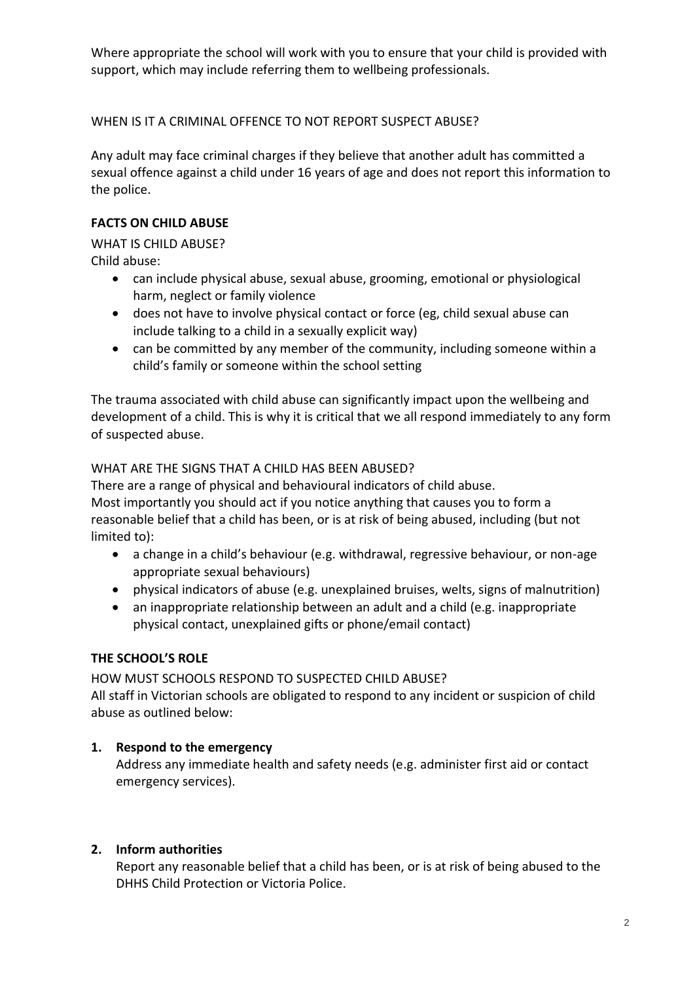Where appropriate the school will work with you to ensure that your child is provided with support, which may include referring them to wellbeing professionals.

# WHEN IS IT A CRIMINAL OFFENCE TO NOT REPORT SUSPECT ABUSE?

Any adult may face criminal charges if they believe that another adult has committed a sexual offence against a child under 16 years of age and does not report this information to the police.

# **FACTS ON CHILD ABUSE**

WHAT IS CHILD ABUSE?

Child abuse:

- can include physical abuse, sexual abuse, grooming, emotional or physiological harm, neglect or family violence
- does not have to involve physical contact or force (eg, child sexual abuse can include talking to a child in a sexually explicit way)
- can be committed by any member of the community, including someone within a child's family or someone within the school setting

The trauma associated with child abuse can significantly impact upon the wellbeing and development of a child. This is why it is critical that we all respond immediately to any form of suspected abuse.

## WHAT ARE THE SIGNS THAT A CHILD HAS BEEN ABUSED?

There are a range of physical and behavioural indicators of child abuse. Most importantly you should act if you notice anything that causes you to form a reasonable belief that a child has been, or is at risk of being abused, including (but not limited to):

- a change in a child's behaviour (e.g. withdrawal, regressive behaviour, or non-age appropriate sexual behaviours)
- physical indicators of abuse (e.g. unexplained bruises, welts, signs of malnutrition)
- an inappropriate relationship between an adult and a child (e.g. inappropriate physical contact, unexplained gifts or phone/email contact)

# **THE SCHOOL'S ROLE**

HOW MUST SCHOOLS RESPOND TO SUSPECTED CHILD ABUSE?

All staff in Victorian schools are obligated to respond to any incident or suspicion of child abuse as outlined below:

# **1. Respond to the emergency**

Address any immediate health and safety needs (e.g. administer first aid or contact emergency services).

# **2. Inform authorities**

Report any reasonable belief that a child has been, or is at risk of being abused to the DHHS Child Protection or Victoria Police.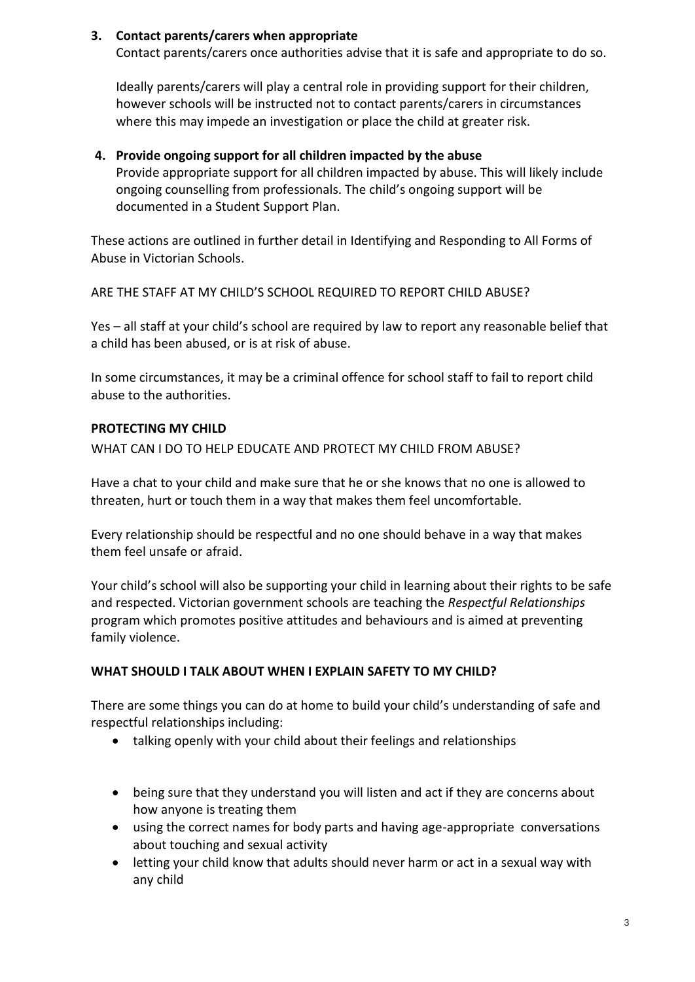### **3. Contact parents/carers when appropriate**

Contact parents/carers once authorities advise that it is safe and appropriate to do so.

Ideally parents/carers will play a central role in providing support for their children, however schools will be instructed not to contact parents/carers in circumstances where this may impede an investigation or place the child at greater risk.

### **4. Provide ongoing support for all children impacted by the abuse**

Provide appropriate support for all children impacted by abuse. This will likely include ongoing counselling from professionals. The child's ongoing support will be documented in a Student Support Plan.

These actions are outlined in further detail in Identifying and Responding to All Forms of Abuse in Victorian Schools.

ARE THE STAFF AT MY CHILD'S SCHOOL REQUIRED TO REPORT CHILD ABUSE?

Yes – all staff at your child's school are required by law to report any reasonable belief that a child has been abused, or is at risk of abuse.

In some circumstances, it may be a criminal offence for school staff to fail to report child abuse to the authorities.

### **PROTECTING MY CHILD**

WHAT CAN LDO TO HELP EDUCATE AND PROTECT MY CHILD FROM ABUSE?

Have a chat to your child and make sure that he or she knows that no one is allowed to threaten, hurt or touch them in a way that makes them feel uncomfortable.

Every relationship should be respectful and no one should behave in a way that makes them feel unsafe or afraid.

Your child's school will also be supporting your child in learning about their rights to be safe and respected. Victorian government schools are teaching the *Respectful Relationships* program which promotes positive attitudes and behaviours and is aimed at preventing family violence.

## **WHAT SHOULD I TALK ABOUT WHEN I EXPLAIN SAFETY TO MY CHILD?**

There are some things you can do at home to build your child's understanding of safe and respectful relationships including:

- talking openly with your child about their feelings and relationships
- being sure that they understand you will listen and act if they are concerns about how anyone is treating them
- using the correct names for body parts and having age-appropriate conversations about touching and sexual activity
- letting your child know that adults should never harm or act in a sexual way with any child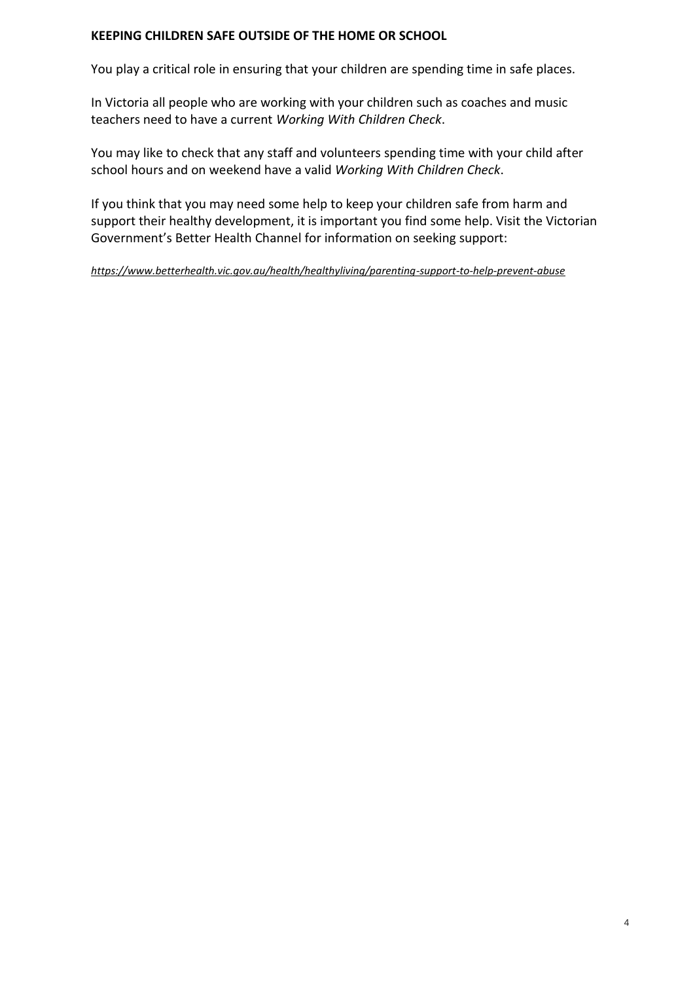### **KEEPING CHILDREN SAFE OUTSIDE OF THE HOME OR SCHOOL**

You play a critical role in ensuring that your children are spending time in safe places.

In Victoria all people who are working with your children such as coaches and music teachers need to have a current *Working With Children Check*.

You may like to check that any staff and volunteers spending time with your child after school hours and on weekend have a valid *Working With Children Check*.

If you think that you may need some help to keep your children safe from harm and support their healthy development, it is important you find some help. Visit the Victorian Government's Better Health Channel for information on seeking support:

*<https://www.betterhealth.vic.gov.au/health/healthyliving/parenting-support-to-help-prevent-abuse>*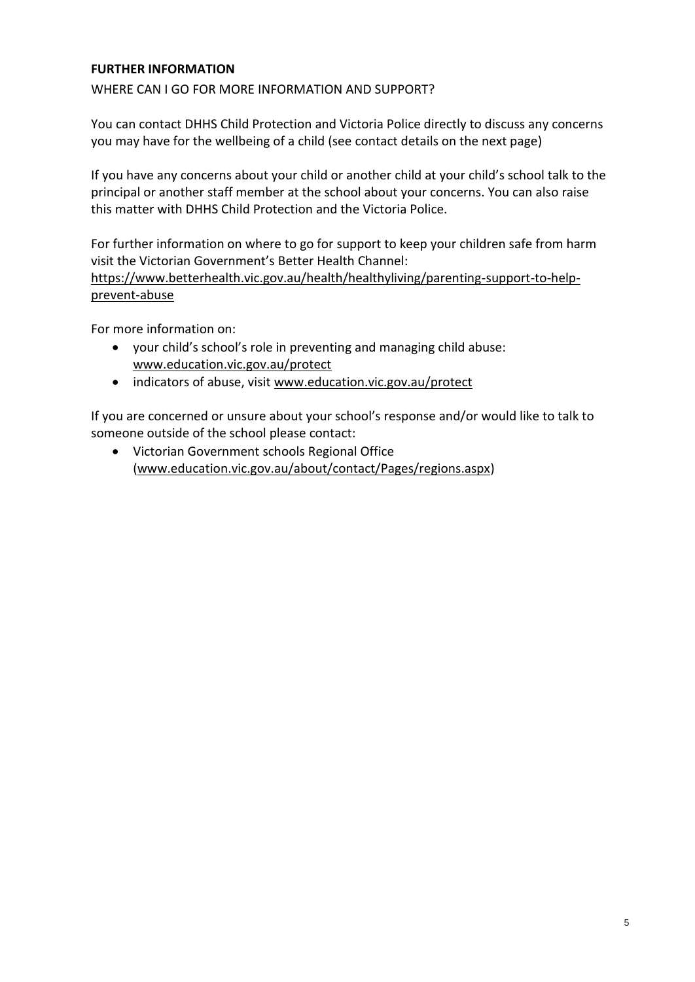#### **FURTHER INFORMATION**

WHERE CAN I GO FOR MORE INFORMATION AND SUPPORT?

You can contact DHHS Child Protection and Victoria Police directly to discuss any concerns you may have for the wellbeing of a child (see contact details on the next page)

If you have any concerns about your child or another child at your child's school talk to the principal or another staff member at the school about your concerns. You can also raise this matter with DHHS Child Protection and the Victoria Police.

For further information on where to go for support to keep your children safe from harm visit the Victorian Government's [Better Health Channel:](https://www.betterhealth.vic.gov.au/health/healthyliving/parenting-support-to-help-prevent-abuse)

[https://www.betterhealth.vic.gov.au/health/healthyliving/parenting-support-to-help](https://www.betterhealth.vic.gov.au/health/healthyliving/parenting-support-to-help-prevent-abuse)[prevent-abuse](https://www.betterhealth.vic.gov.au/health/healthyliving/parenting-support-to-help-prevent-abuse)

For more information on:

- your child's school's role in preventing and managing child abuse: [www.education.vic.gov.au/protect](http://www.education.vic.gov.au/protect)
- indicators of abuse, visit [www.education.vic.gov.au/protect](http://www.education.vic.gov.au/protect)

If you are concerned or unsure about your school's response and/or would like to talk to someone outside of the school please contact:

 Victorian Government schools Regional Office (www.education.vic.gov.au/about/contact/Pages/regions.aspx)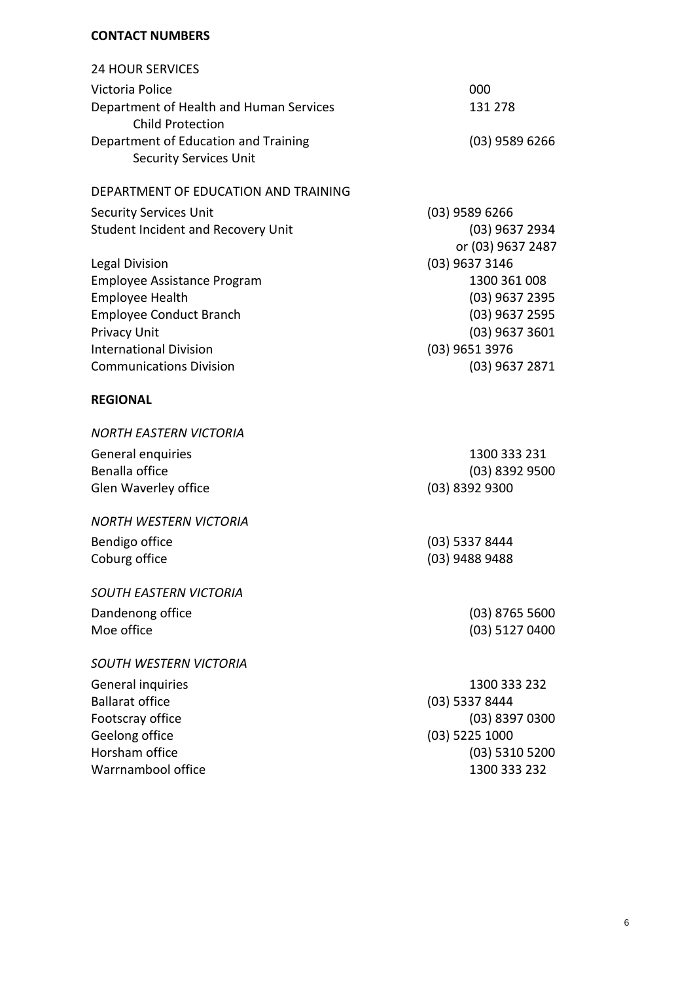#### **CONTACT NUMBERS**

| <b>24 HOUR SERVICES</b>                 |                   |
|-----------------------------------------|-------------------|
| Victoria Police                         | 000               |
| Department of Health and Human Services | 131 278           |
| <b>Child Protection</b>                 |                   |
| Department of Education and Training    | $(03)$ 9589 6266  |
| <b>Security Services Unit</b>           |                   |
|                                         |                   |
| DEPARTMENT OF EDUCATION AND TRAINING    |                   |
| <b>Security Services Unit</b>           | $(03)$ 9589 6266  |
| Student Incident and Recovery Unit      | (03) 9637 2934    |
|                                         | or (03) 9637 2487 |
| <b>Legal Division</b>                   | (03) 9637 3146    |
| Employee Assistance Program             | 1300 361 008      |
| <b>Employee Health</b>                  | (03) 9637 2395    |
| <b>Employee Conduct Branch</b>          | (03) 9637 2595    |
| <b>Privacy Unit</b>                     | $(03)$ 9637 3601  |
| <b>International Division</b>           | (03) 9651 3976    |
| <b>Communications Division</b>          | $(03)$ 9637 2871  |
|                                         |                   |
| <b>REGIONAL</b>                         |                   |
| <b>NORTH EASTERN VICTORIA</b>           |                   |
|                                         |                   |
| General enquiries                       | 1300 333 231      |
| Benalla office                          | $(03)$ 8392 9500  |
| Glen Waverley office                    | (03) 8392 9300    |
| <b>NORTH WESTERN VICTORIA</b>           |                   |
| Bendigo office                          | $(03)$ 5337 8444  |
| Coburg office                           | (03) 9488 9488    |
|                                         |                   |
| <b>SOUTH EASTERN VICTORIA</b>           |                   |
| Dandenong office                        | $(03)$ 8765 5600  |
| Moe office                              | (03) 5127 0400    |
|                                         |                   |
| <b>SOUTH WESTERN VICTORIA</b>           |                   |
| General inquiries                       | 1300 333 232      |
| <b>Ballarat office</b>                  | $(03)$ 5337 8444  |
| Footscray office                        | $(03)$ 8397 0300  |
| Geelong office                          | (03) 5225 1000    |
| Horsham office                          | $(03)$ 5310 5200  |
| Warrnambool office                      | 1300 333 232      |
|                                         |                   |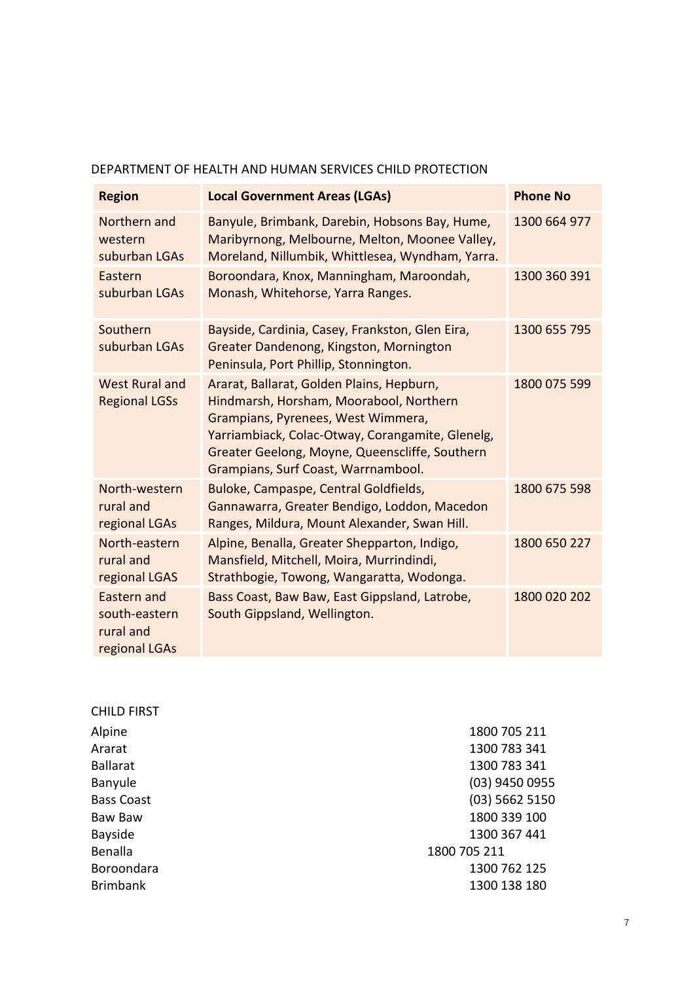### DEPARTMENT OF HEALTH AND HUMAN SERVICES CHILD PROTECTION

| <b>Region</b>                                              | <b>Local Government Areas (LGAs)</b>                                                                                                                                                                                                                                    | <b>Phone No</b> |
|------------------------------------------------------------|-------------------------------------------------------------------------------------------------------------------------------------------------------------------------------------------------------------------------------------------------------------------------|-----------------|
| Northern and<br>western<br>suburban LGAs                   | Banyule, Brimbank, Darebin, Hobsons Bay, Hume,<br>Maribyrnong, Melbourne, Melton, Moonee Valley,<br>Moreland, Nillumbik, Whittlesea, Wyndham, Yarra.                                                                                                                    | 1300 664 977    |
| Eastern<br>suburban LGAs                                   | Boroondara, Knox, Manningham, Maroondah,<br>Monash, Whitehorse, Yarra Ranges.                                                                                                                                                                                           | 1300 360 391    |
| Southern<br>suburban LGAs                                  | Bayside, Cardinia, Casey, Frankston, Glen Eira,<br>Greater Dandenong, Kingston, Mornington<br>Peninsula, Port Phillip, Stonnington.                                                                                                                                     | 1300 655 795    |
| <b>West Rural and</b><br><b>Regional LGSs</b>              | Ararat, Ballarat, Golden Plains, Hepburn,<br>Hindmarsh, Horsham, Moorabool, Northern<br>Grampians, Pyrenees, West Wimmera,<br>Yarriambiack, Colac-Otway, Corangamite, Glenelg,<br>Greater Geelong, Moyne, Queenscliffe, Southern<br>Grampians, Surf Coast, Warrnambool. | 1800 075 599    |
| North-western<br>rural and<br>regional LGAs                | Buloke, Campaspe, Central Goldfields,<br>Gannawarra, Greater Bendigo, Loddon, Macedon<br>Ranges, Mildura, Mount Alexander, Swan Hill.                                                                                                                                   | 1800 675 598    |
| North-eastern<br>rural and<br>regional LGAS                | Alpine, Benalla, Greater Shepparton, Indigo,<br>Mansfield, Mitchell, Moira, Murrindindi,<br>Strathbogie, Towong, Wangaratta, Wodonga.                                                                                                                                   | 1800 650 227    |
| Eastern and<br>south-eastern<br>rural and<br>regional LGAs | Bass Coast, Baw Baw, East Gippsland, Latrobe,<br>South Gippsland, Wellington.                                                                                                                                                                                           | 1800 020 202    |

| 1800 705 211<br>Alpine<br>1300 783 341<br>Ararat<br><b>Ballarat</b><br>1300 783 341<br>(03) 9450 0955<br>Banyule |  |
|------------------------------------------------------------------------------------------------------------------|--|
|                                                                                                                  |  |
|                                                                                                                  |  |
|                                                                                                                  |  |
|                                                                                                                  |  |
| (03) 5662 5150<br><b>Bass Coast</b>                                                                              |  |
| 1800 339 100<br>Baw Baw                                                                                          |  |
| 1300 367 441<br><b>Bayside</b>                                                                                   |  |
| <b>Benalla</b><br>1800 705 211                                                                                   |  |
| Boroondara<br>1300 762 125                                                                                       |  |
| <b>Brimbank</b><br>1300 138 180                                                                                  |  |